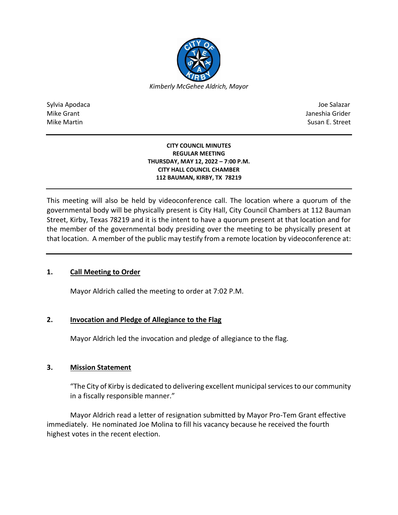

Sylvia Apodaca Joe Salazar Joe Salazar Joe Salazar Joe Salazar Joe Salazar Joe Salazar Joe Salazar Joe Salazar Mike Grant **Janeshia Grider** Mike Grant Janeshia Grider **Janeshia Grider** Mike Grant Janeshia Grider Mike Martin Susan E. Street

### **CITY COUNCIL MINUTES REGULAR MEETING THURSDAY, MAY 12, 2022 – 7:00 P.M. CITY HALL COUNCIL CHAMBER 112 BAUMAN, KIRBY, TX 78219**

This meeting will also be held by videoconference call. The location where a quorum of the governmental body will be physically present is City Hall, City Council Chambers at 112 Bauman Street, Kirby, Texas 78219 and it is the intent to have a quorum present at that location and for the member of the governmental body presiding over the meeting to be physically present at that location. A member of the public may testify from a remote location by videoconference at:

# **1. Call Meeting to Order**

Mayor Aldrich called the meeting to order at 7:02 P.M.

# **2. Invocation and Pledge of Allegiance to the Flag**

Mayor Aldrich led the invocation and pledge of allegiance to the flag.

# **3. Mission Statement**

"The City of Kirby is dedicated to delivering excellent municipal services to our community in a fiscally responsible manner."

Mayor Aldrich read a letter of resignation submitted by Mayor Pro-Tem Grant effective immediately. He nominated Joe Molina to fill his vacancy because he received the fourth highest votes in the recent election.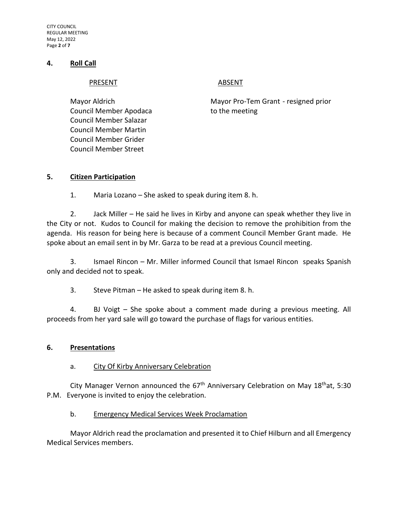CITY COUNCIL REGULAR MEETING May 12, 2022 Page **2** of **7**

## **4. Roll Call**

#### PRESENT ABSENT

Council Member Apodaca to the meeting Council Member Salazar Council Member Martin Council Member Grider Council Member Street

Mayor Aldrich Mayor Pro-Tem Grant - resigned prior

## **5. Citizen Participation**

1. Maria Lozano – She asked to speak during item 8. h.

2. Jack Miller – He said he lives in Kirby and anyone can speak whether they live in the City or not. Kudos to Council for making the decision to remove the prohibition from the agenda. His reason for being here is because of a comment Council Member Grant made. He spoke about an email sent in by Mr. Garza to be read at a previous Council meeting.

3. Ismael Rincon – Mr. Miller informed Council that Ismael Rincon speaks Spanish only and decided not to speak.

3. Steve Pitman – He asked to speak during item 8. h.

4. BJ Voigt – She spoke about a comment made during a previous meeting. All proceeds from her yard sale will go toward the purchase of flags for various entities.

## **6. Presentations**

## a. City Of Kirby Anniversary Celebration

City Manager Vernon announced the  $67<sup>th</sup>$  Anniversary Celebration on May 18<sup>th</sup>at, 5:30 P.M. Everyone is invited to enjoy the celebration.

## b. Emergency Medical Services Week Proclamation

Mayor Aldrich read the proclamation and presented it to Chief Hilburn and all Emergency Medical Services members.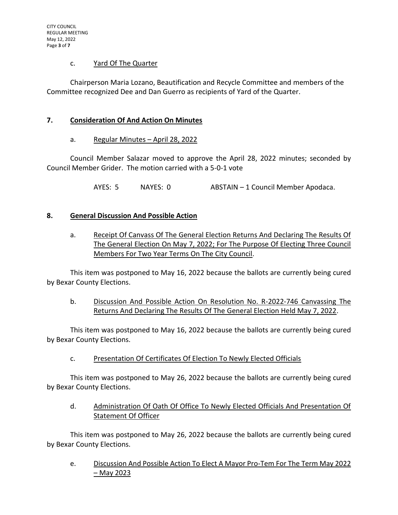## c. Yard Of The Quarter

Chairperson Maria Lozano, Beautification and Recycle Committee and members of the Committee recognized Dee and Dan Guerro as recipients of Yard of the Quarter.

## **7. Consideration Of And Action On Minutes**

## a. Regular Minutes - April 28, 2022

Council Member Salazar moved to approve the April 28, 2022 minutes; seconded by Council Member Grider. The motion carried with a 5-0-1 vote

AYES: 5 NAYES: 0 ABSTAIN – 1 Council Member Apodaca.

## **8. General Discussion And Possible Action**

a. Receipt Of Canvass Of The General Election Returns And Declaring The Results Of The General Election On May 7, 2022; For The Purpose Of Electing Three Council Members For Two Year Terms On The City Council.

This item was postponed to May 16, 2022 because the ballots are currently being cured by Bexar County Elections.

b. Discussion And Possible Action On Resolution No. R-2022-746 Canvassing The Returns And Declaring The Results Of The General Election Held May 7, 2022.

This item was postponed to May 16, 2022 because the ballots are currently being cured by Bexar County Elections.

c. Presentation Of Certificates Of Election To Newly Elected Officials

This item was postponed to May 26, 2022 because the ballots are currently being cured by Bexar County Elections.

d. Administration Of Oath Of Office To Newly Elected Officials And Presentation Of Statement Of Officer

This item was postponed to May 26, 2022 because the ballots are currently being cured by Bexar County Elections.

e. Discussion And Possible Action To Elect A Mayor Pro-Tem For The Term May 2022 – May 2023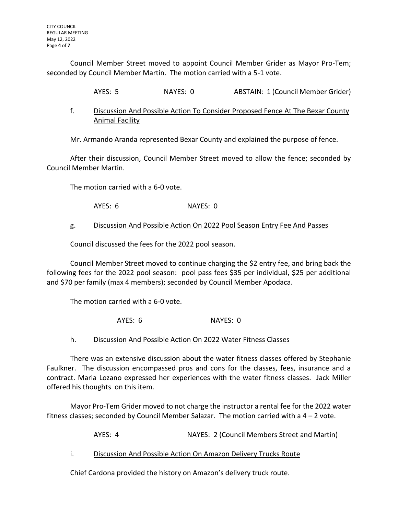Council Member Street moved to appoint Council Member Grider as Mayor Pro-Tem; seconded by Council Member Martin. The motion carried with a 5-1 vote.

AYES: 5 NAYES: 0 ABSTAIN: 1 (Council Member Grider)

f. Discussion And Possible Action To Consider Proposed Fence At The Bexar County Animal Facility

Mr. Armando Aranda represented Bexar County and explained the purpose of fence.

After their discussion, Council Member Street moved to allow the fence; seconded by Council Member Martin.

The motion carried with a 6-0 vote.

AYES: 6 NAYES: 0

## g. Discussion And Possible Action On 2022 Pool Season Entry Fee And Passes

Council discussed the fees for the 2022 pool season.

Council Member Street moved to continue charging the \$2 entry fee, and bring back the following fees for the 2022 pool season: pool pass fees \$35 per individual, \$25 per additional and \$70 per family (max 4 members); seconded by Council Member Apodaca.

The motion carried with a 6-0 vote.

AYES: 6 NAYES: 0

h. Discussion And Possible Action On 2022 Water Fitness Classes

There was an extensive discussion about the water fitness classes offered by Stephanie Faulkner. The discussion encompassed pros and cons for the classes, fees, insurance and a contract. Maria Lozano expressed her experiences with the water fitness classes. Jack Miller offered his thoughts on this item.

Mayor Pro-Tem Grider moved to not charge the instructor a rental fee for the 2022 water fitness classes; seconded by Council Member Salazar. The motion carried with a 4 – 2 vote.

AYES: 4 NAYES: 2 (Council Members Street and Martin)

i. Discussion And Possible Action On Amazon Delivery Trucks Route

Chief Cardona provided the history on Amazon's delivery truck route.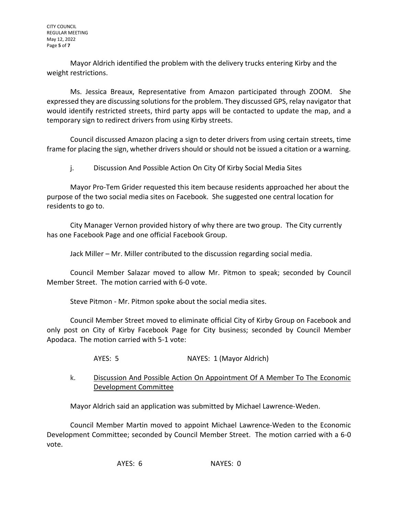Mayor Aldrich identified the problem with the delivery trucks entering Kirby and the weight restrictions.

Ms. Jessica Breaux, Representative from Amazon participated through ZOOM. She expressed they are discussing solutions for the problem. They discussed GPS, relay navigator that would identify restricted streets, third party apps will be contacted to update the map, and a temporary sign to redirect drivers from using Kirby streets.

Council discussed Amazon placing a sign to deter drivers from using certain streets, time frame for placing the sign, whether drivers should or should not be issued a citation or a warning.

j. Discussion And Possible Action On City Of Kirby Social Media Sites

Mayor Pro-Tem Grider requested this item because residents approached her about the purpose of the two social media sites on Facebook. She suggested one central location for residents to go to.

City Manager Vernon provided history of why there are two group. The City currently has one Facebook Page and one official Facebook Group.

Jack Miller – Mr. Miller contributed to the discussion regarding social media.

Council Member Salazar moved to allow Mr. Pitmon to speak; seconded by Council Member Street. The motion carried with 6-0 vote.

Steve Pitmon - Mr. Pitmon spoke about the social media sites.

Council Member Street moved to eliminate official City of Kirby Group on Facebook and only post on City of Kirby Facebook Page for City business; seconded by Council Member Apodaca. The motion carried with 5-1 vote:

AYES: 5 NAYES: 1 (Mayor Aldrich)

k. Discussion And Possible Action On Appointment Of A Member To The Economic Development Committee

Mayor Aldrich said an application was submitted by Michael Lawrence-Weden.

Council Member Martin moved to appoint Michael Lawrence-Weden to the Economic Development Committee; seconded by Council Member Street. The motion carried with a 6-0 vote.

AYES: 6 NAYES: 0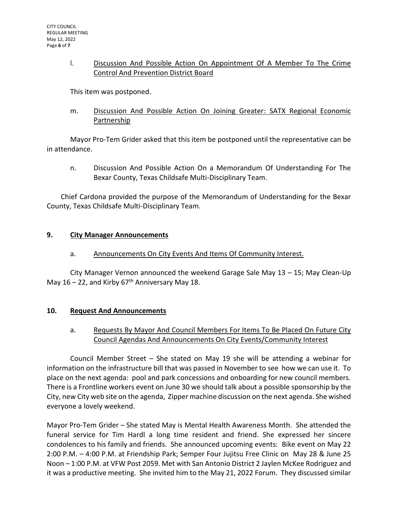## l. Discussion And Possible Action On Appointment Of A Member To The Crime Control And Prevention District Board

This item was postponed.

m. Discussion And Possible Action On Joining Greater: SATX Regional Economic Partnership

Mayor Pro-Tem Grider asked that this item be postponed until the representative can be in attendance.

n. Discussion And Possible Action On a Memorandum Of Understanding For The Bexar County, Texas Childsafe Multi-Disciplinary Team.

Chief Cardona provided the purpose of the Memorandum of Understanding for the Bexar County, Texas Childsafe Multi-Disciplinary Team.

# **9. City Manager Announcements**

# a. Announcements On City Events And Items Of Community Interest.

City Manager Vernon announced the weekend Garage Sale May 13 – 15; May Clean-Up May  $16 - 22$ , and Kirby  $67<sup>th</sup>$  Anniversary May 18.

# **10. Request And Announcements**

# a. Requests By Mayor And Council Members For Items To Be Placed On Future City Council Agendas And Announcements On City Events/Community Interest

Council Member Street – She stated on May 19 she will be attending a webinar for information on the infrastructure bill that was passed in November to see how we can use it. To place on the next agenda: pool and park concessions and onboarding for new council members. There is a Frontline workers event on June 30 we should talk about a possible sponsorship by the City, new City web site on the agenda, Zipper machine discussion on the next agenda. She wished everyone a lovely weekend.

Mayor Pro-Tem Grider – She stated May is Mental Health Awareness Month. She attended the funeral service for Tim Hardl a long time resident and friend. She expressed her sincere condolences to his family and friends. She announced upcoming events: Bike event on May 22 2:00 P.M. – 4:00 P.M. at Friendship Park; Semper Four Jujitsu Free Clinic on May 28 & June 25 Noon – 1:00 P.M. at VFW Post 2059. Met with San Antonio District 2 Jaylen McKee Rodriguez and it was a productive meeting. She invited him to the May 21, 2022 Forum. They discussed similar